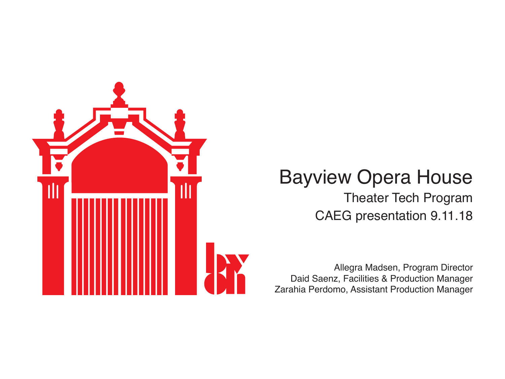

#### Bayview Opera House Theater Tech Program CAEG presentation 9.11.18

Allegra Madsen, Program Director Daid Saenz, Facilities & Production Manager Zarahia Perdomo, Assistant Production Manager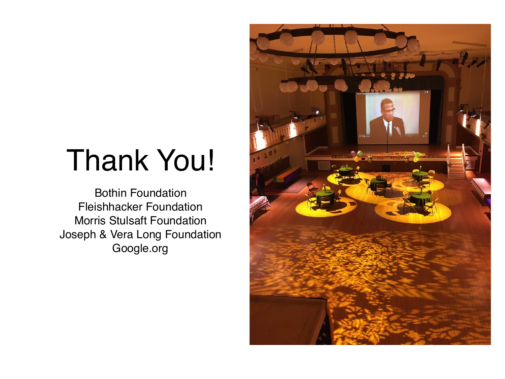### Thank You!

Bothin Foundation Fleishhacker Foundation Morris Stulsaft Foundation Joseph & Vera Long Foundation Google.org

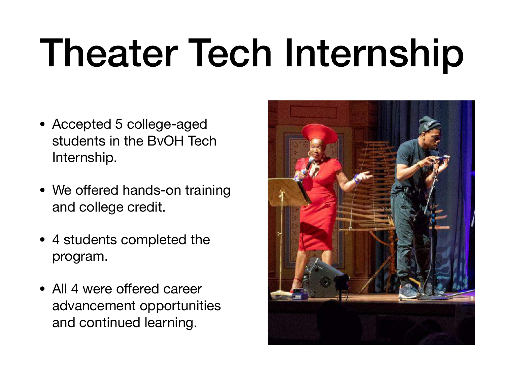# Theater Tech Internship

- Accepted 5 college-aged students in the BvOH Tech Internship.
- We offered hands-on training and college credit.
- 4 students completed the program.
- All 4 were offered career advancement opportunities and continued learning.

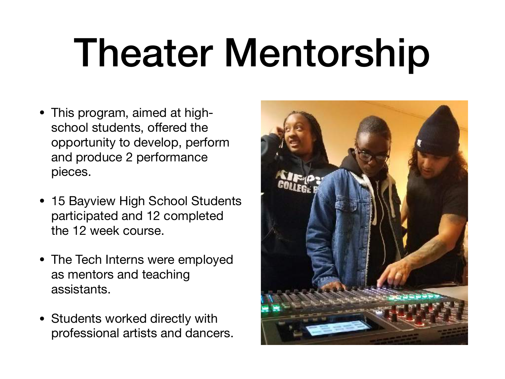# Theater Mentorship

- This program, aimed at highschool students, offered the opportunity to develop, perform and produce 2 performance pieces.
- 15 Bayview High School Students participated and 12 completed the 12 week course.
- The Tech Interns were employed as mentors and teaching assistants.
- Students worked directly with professional artists and dancers.

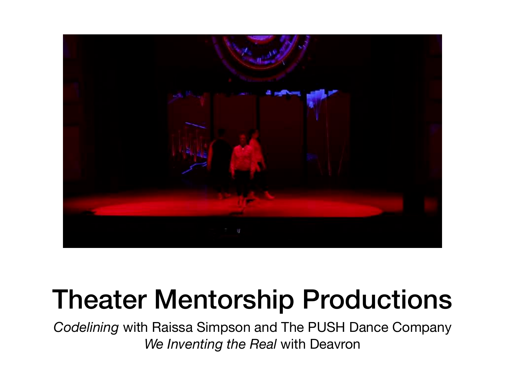

#### Theater Mentorship Productions

*Codelining* with Raissa Simpson and The PUSH Dance Company *We Inventing the Real* with Deavron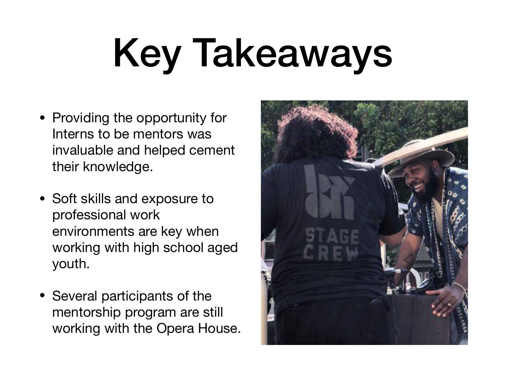# Key Takeaways

- Providing the opportunity for Interns to be mentors was invaluable and helped cement their knowledge.
- Soft skills and exposure to professional work environments are key when working with high school aged youth.
- Several participants of the mentorship program are still working with the Opera House.

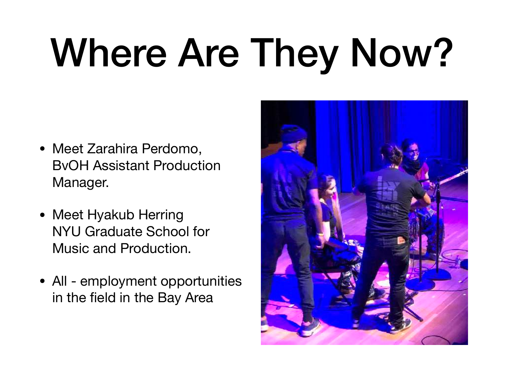# Where Are They Now?

- Meet Zarahira Perdomo, BvOH Assistant Production Manager.
- Meet Hyakub Herring NYU Graduate School for Music and Production.
- All employment opportunities in the field in the Bay Area

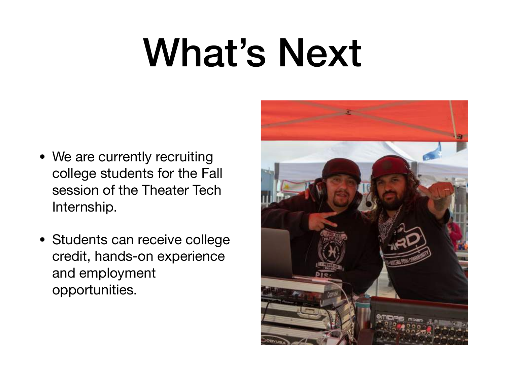## What's Next

- We are currently recruiting college students for the Fall session of the Theater Tech Internship.
- Students can receive college credit, hands-on experience and employment opportunities.